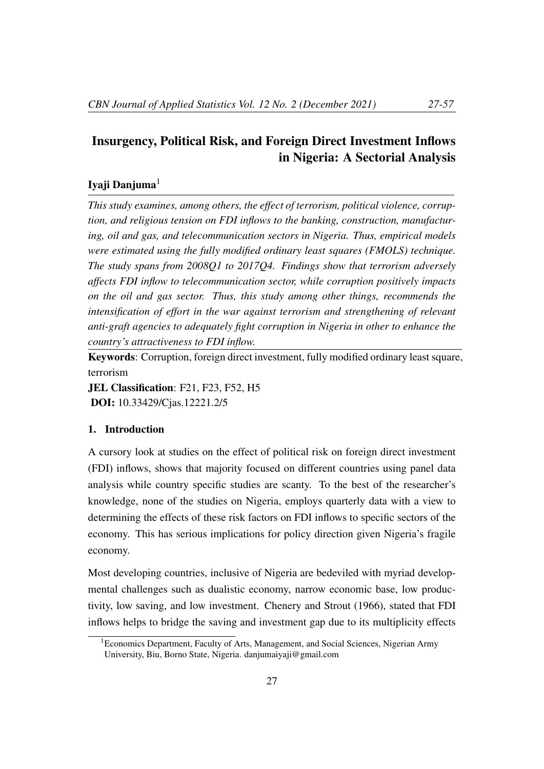# Insurgency, Political Risk, and Foreign Direct Investment Inflows in Nigeria: A Sectorial Analysis

# Iyaji Danjuma $<sup>1</sup>$ </sup>

*This study examines, among others, the effect of terrorism, political violence, corruption, and religious tension on FDI inflows to the banking, construction, manufacturing, oil and gas, and telecommunication sectors in Nigeria. Thus, empirical models were estimated using the fully modified ordinary least squares (FMOLS) technique. The study spans from 2008Q1 to 2017Q4. Findings show that terrorism adversely affects FDI inflow to telecommunication sector, while corruption positively impacts on the oil and gas sector. Thus, this study among other things, recommends the intensification of effort in the war against terrorism and strengthening of relevant anti-graft agencies to adequately fight corruption in Nigeria in other to enhance the country's attractiveness to FDI inflow.*

Keywords: Corruption, foreign direct investment, fully modified ordinary least square, terrorism

JEL Classification: F21, F23, F52, H5 DOI: 10.33429/Cjas.12221.2/5

#### 1. Introduction

A cursory look at studies on the effect of political risk on foreign direct investment (FDI) inflows, shows that majority focused on different countries using panel data analysis while country specific studies are scanty. To the best of the researcher's knowledge, none of the studies on Nigeria, employs quarterly data with a view to determining the effects of these risk factors on FDI inflows to specific sectors of the economy. This has serious implications for policy direction given Nigeria's fragile economy.

Most developing countries, inclusive of Nigeria are bedeviled with myriad developmental challenges such as dualistic economy, narrow economic base, low productivity, low saving, and low investment. Chenery and Strout (1966), stated that FDI inflows helps to bridge the saving and investment gap due to its multiplicity effects

<sup>&</sup>lt;sup>1</sup> Economics Department, Faculty of Arts, Management, and Social Sciences, Nigerian Army University, Biu, Borno State, Nigeria. danjumaiyaji@gmail.com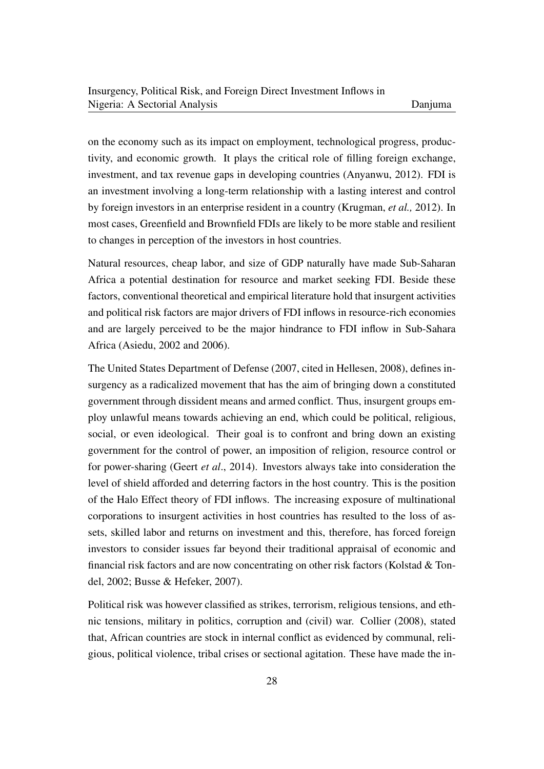on the economy such as its impact on employment, technological progress, productivity, and economic growth. It plays the critical role of filling foreign exchange, investment, and tax revenue gaps in developing countries (Anyanwu, 2012). FDI is an investment involving a long-term relationship with a lasting interest and control by foreign investors in an enterprise resident in a country (Krugman, *et al.,* 2012). In most cases, Greenfield and Brownfield FDIs are likely to be more stable and resilient to changes in perception of the investors in host countries.

Natural resources, cheap labor, and size of GDP naturally have made Sub-Saharan Africa a potential destination for resource and market seeking FDI. Beside these factors, conventional theoretical and empirical literature hold that insurgent activities and political risk factors are major drivers of FDI inflows in resource-rich economies and are largely perceived to be the major hindrance to FDI inflow in Sub-Sahara Africa (Asiedu, 2002 and 2006).

The United States Department of Defense (2007, cited in Hellesen, 2008), defines insurgency as a radicalized movement that has the aim of bringing down a constituted government through dissident means and armed conflict. Thus, insurgent groups employ unlawful means towards achieving an end, which could be political, religious, social, or even ideological. Their goal is to confront and bring down an existing government for the control of power, an imposition of religion, resource control or for power-sharing (Geert *et al*., 2014). Investors always take into consideration the level of shield afforded and deterring factors in the host country. This is the position of the Halo Effect theory of FDI inflows. The increasing exposure of multinational corporations to insurgent activities in host countries has resulted to the loss of assets, skilled labor and returns on investment and this, therefore, has forced foreign investors to consider issues far beyond their traditional appraisal of economic and financial risk factors and are now concentrating on other risk factors (Kolstad & Tondel, 2002; Busse & Hefeker, 2007).

Political risk was however classified as strikes, terrorism, religious tensions, and ethnic tensions, military in politics, corruption and (civil) war. Collier (2008), stated that, African countries are stock in internal conflict as evidenced by communal, religious, political violence, tribal crises or sectional agitation. These have made the in-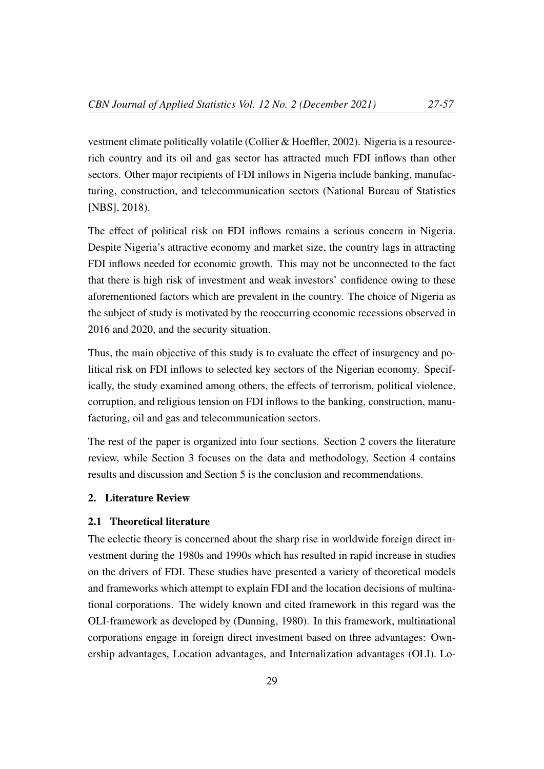vestment climate politically volatile (Collier & Hoeffler, 2002). Nigeria is a resourcerich country and its oil and gas sector has attracted much FDI inflows than other sectors. Other major recipients of FDI inflows in Nigeria include banking, manufacturing, construction, and telecommunication sectors (National Bureau of Statistics [NBS], 2018).

The effect of political risk on FDI inflows remains a serious concern in Nigeria. Despite Nigeria's attractive economy and market size, the country lags in attracting FDI inflows needed for economic growth. This may not be unconnected to the fact that there is high risk of investment and weak investors' confidence owing to these aforementioned factors which are prevalent in the country. The choice of Nigeria as the subject of study is motivated by the reoccurring economic recessions observed in 2016 and 2020, and the security situation.

Thus, the main objective of this study is to evaluate the effect of insurgency and political risk on FDI inflows to selected key sectors of the Nigerian economy. Specifically, the study examined among others, the effects of terrorism, political violence, corruption, and religious tension on FDI inflows to the banking, construction, manufacturing, oil and gas and telecommunication sectors.

The rest of the paper is organized into four sections. Section 2 covers the literature review, while Section 3 focuses on the data and methodology, Section 4 contains results and discussion and Section 5 is the conclusion and recommendations.

# 2. Literature Review

#### 2.1 Theoretical literature

The eclectic theory is concerned about the sharp rise in worldwide foreign direct investment during the 1980s and 1990s which has resulted in rapid increase in studies on the drivers of FDI. These studies have presented a variety of theoretical models and frameworks which attempt to explain FDI and the location decisions of multinational corporations. The widely known and cited framework in this regard was the OLI-framework as developed by (Dunning, 1980). In this framework, multinational corporations engage in foreign direct investment based on three advantages: Ownership advantages, Location advantages, and Internalization advantages (OLI). Lo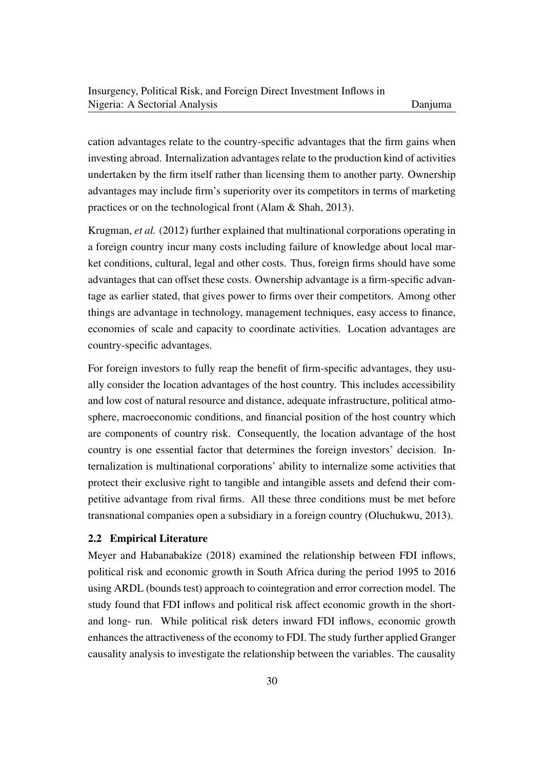cation advantages relate to the country-specific advantages that the firm gains when investing abroad. Internalization advantages relate to the production kind of activities undertaken by the firm itself rather than licensing them to another party. Ownership advantages may include firm's superiority over its competitors in terms of marketing practices or on the technological front (Alam & Shah, 2013).

Krugman, *et al.* (2012) further explained that multinational corporations operating in a foreign country incur many costs including failure of knowledge about local market conditions, cultural, legal and other costs. Thus, foreign firms should have some advantages that can offset these costs. Ownership advantage is a firm-specific advantage as earlier stated, that gives power to firms over their competitors. Among other things are advantage in technology, management techniques, easy access to finance, economies of scale and capacity to coordinate activities. Location advantages are country-specific advantages.

For foreign investors to fully reap the benefit of firm-specific advantages, they usually consider the location advantages of the host country. This includes accessibility and low cost of natural resource and distance, adequate infrastructure, political atmosphere, macroeconomic conditions, and financial position of the host country which are components of country risk. Consequently, the location advantage of the host country is one essential factor that determines the foreign investors' decision. Internalization is multinational corporations' ability to internalize some activities that protect their exclusive right to tangible and intangible assets and defend their competitive advantage from rival firms. All these three conditions must be met before transnational companies open a subsidiary in a foreign country (Oluchukwu, 2013).

# 2.2 Empirical Literature

Meyer and Habanabakize (2018) examined the relationship between FDI inflows, political risk and economic growth in South Africa during the period 1995 to 2016 using ARDL (bounds test) approach to cointegration and error correction model. The study found that FDI inflows and political risk affect economic growth in the shortand long- run. While political risk deters inward FDI inflows, economic growth enhances the attractiveness of the economy to FDI. The study further applied Granger causality analysis to investigate the relationship between the variables. The causality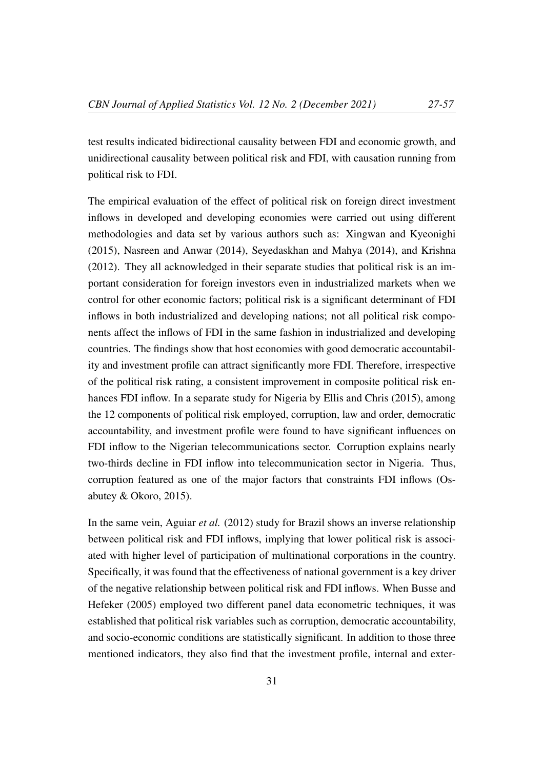test results indicated bidirectional causality between FDI and economic growth, and unidirectional causality between political risk and FDI, with causation running from political risk to FDI.

The empirical evaluation of the effect of political risk on foreign direct investment inflows in developed and developing economies were carried out using different methodologies and data set by various authors such as: Xingwan and Kyeonighi (2015), Nasreen and Anwar (2014), Seyedaskhan and Mahya (2014), and Krishna (2012). They all acknowledged in their separate studies that political risk is an important consideration for foreign investors even in industrialized markets when we control for other economic factors; political risk is a significant determinant of FDI inflows in both industrialized and developing nations; not all political risk components affect the inflows of FDI in the same fashion in industrialized and developing countries. The findings show that host economies with good democratic accountability and investment profile can attract significantly more FDI. Therefore, irrespective of the political risk rating, a consistent improvement in composite political risk enhances FDI inflow. In a separate study for Nigeria by Ellis and Chris (2015), among the 12 components of political risk employed, corruption, law and order, democratic accountability, and investment profile were found to have significant influences on FDI inflow to the Nigerian telecommunications sector. Corruption explains nearly two-thirds decline in FDI inflow into telecommunication sector in Nigeria. Thus, corruption featured as one of the major factors that constraints FDI inflows (Osabutey & Okoro, 2015).

In the same vein, Aguiar *et al.* (2012) study for Brazil shows an inverse relationship between political risk and FDI inflows, implying that lower political risk is associated with higher level of participation of multinational corporations in the country. Specifically, it was found that the effectiveness of national government is a key driver of the negative relationship between political risk and FDI inflows. When Busse and Hefeker (2005) employed two different panel data econometric techniques, it was established that political risk variables such as corruption, democratic accountability, and socio-economic conditions are statistically significant. In addition to those three mentioned indicators, they also find that the investment profile, internal and exter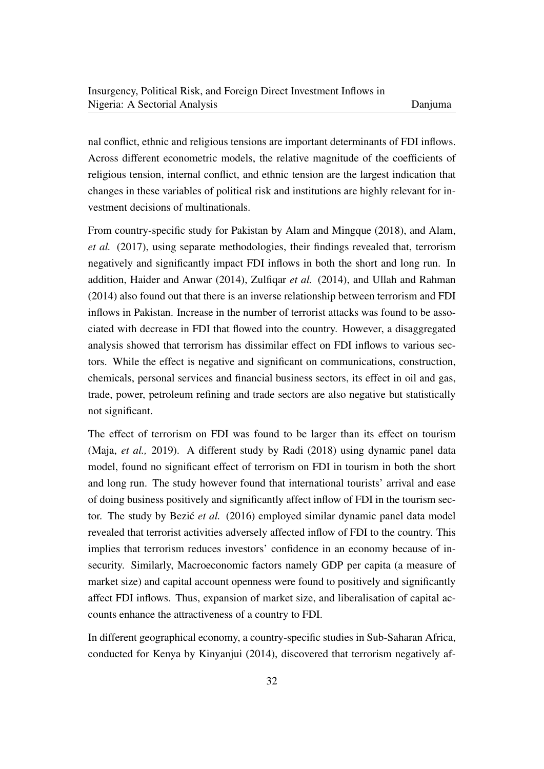nal conflict, ethnic and religious tensions are important determinants of FDI inflows. Across different econometric models, the relative magnitude of the coefficients of religious tension, internal conflict, and ethnic tension are the largest indication that changes in these variables of political risk and institutions are highly relevant for investment decisions of multinationals.

From country-specific study for Pakistan by Alam and Mingque (2018), and Alam, *et al.* (2017), using separate methodologies, their findings revealed that, terrorism negatively and significantly impact FDI inflows in both the short and long run. In addition, Haider and Anwar (2014), Zulfiqar *et al.* (2014), and Ullah and Rahman (2014) also found out that there is an inverse relationship between terrorism and FDI inflows in Pakistan. Increase in the number of terrorist attacks was found to be associated with decrease in FDI that flowed into the country. However, a disaggregated analysis showed that terrorism has dissimilar effect on FDI inflows to various sectors. While the effect is negative and significant on communications, construction, chemicals, personal services and financial business sectors, its effect in oil and gas, trade, power, petroleum refining and trade sectors are also negative but statistically not significant.

The effect of terrorism on FDI was found to be larger than its effect on tourism (Maja, *et al.,* 2019). A different study by Radi (2018) using dynamic panel data model, found no significant effect of terrorism on FDI in tourism in both the short and long run. The study however found that international tourists' arrival and ease of doing business positively and significantly affect inflow of FDI in the tourism sector. The study by Bezic<sup> $et$ </sup> *et al.* (2016) employed similar dynamic panel data model revealed that terrorist activities adversely affected inflow of FDI to the country. This implies that terrorism reduces investors' confidence in an economy because of insecurity. Similarly, Macroeconomic factors namely GDP per capita (a measure of market size) and capital account openness were found to positively and significantly affect FDI inflows. Thus, expansion of market size, and liberalisation of capital accounts enhance the attractiveness of a country to FDI.

In different geographical economy, a country-specific studies in Sub-Saharan Africa, conducted for Kenya by Kinyanjui (2014), discovered that terrorism negatively af-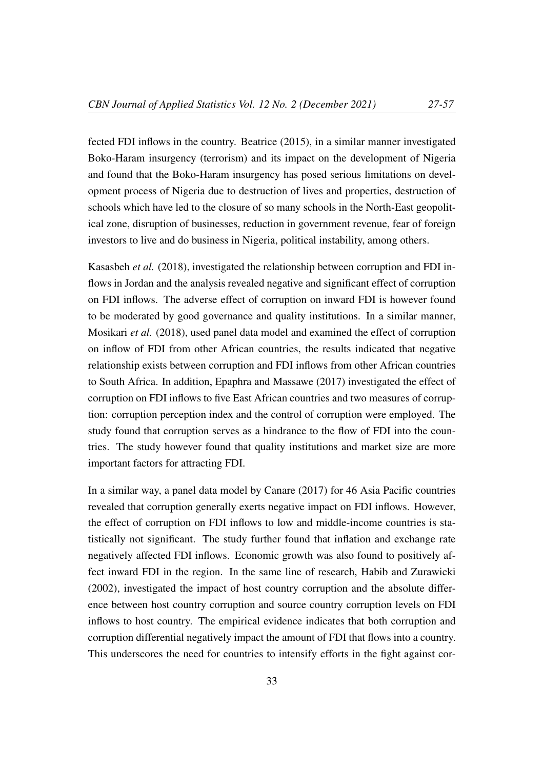fected FDI inflows in the country. Beatrice (2015), in a similar manner investigated Boko-Haram insurgency (terrorism) and its impact on the development of Nigeria and found that the Boko-Haram insurgency has posed serious limitations on development process of Nigeria due to destruction of lives and properties, destruction of schools which have led to the closure of so many schools in the North-East geopolitical zone, disruption of businesses, reduction in government revenue, fear of foreign investors to live and do business in Nigeria, political instability, among others.

Kasasbeh *et al.* (2018), investigated the relationship between corruption and FDI inflows in Jordan and the analysis revealed negative and significant effect of corruption on FDI inflows. The adverse effect of corruption on inward FDI is however found to be moderated by good governance and quality institutions. In a similar manner, Mosikari *et al.* (2018), used panel data model and examined the effect of corruption on inflow of FDI from other African countries, the results indicated that negative relationship exists between corruption and FDI inflows from other African countries to South Africa. In addition, Epaphra and Massawe (2017) investigated the effect of corruption on FDI inflows to five East African countries and two measures of corruption: corruption perception index and the control of corruption were employed. The study found that corruption serves as a hindrance to the flow of FDI into the countries. The study however found that quality institutions and market size are more important factors for attracting FDI.

In a similar way, a panel data model by Canare (2017) for 46 Asia Pacific countries revealed that corruption generally exerts negative impact on FDI inflows. However, the effect of corruption on FDI inflows to low and middle-income countries is statistically not significant. The study further found that inflation and exchange rate negatively affected FDI inflows. Economic growth was also found to positively affect inward FDI in the region. In the same line of research, Habib and Zurawicki (2002), investigated the impact of host country corruption and the absolute difference between host country corruption and source country corruption levels on FDI inflows to host country. The empirical evidence indicates that both corruption and corruption differential negatively impact the amount of FDI that flows into a country. This underscores the need for countries to intensify efforts in the fight against cor-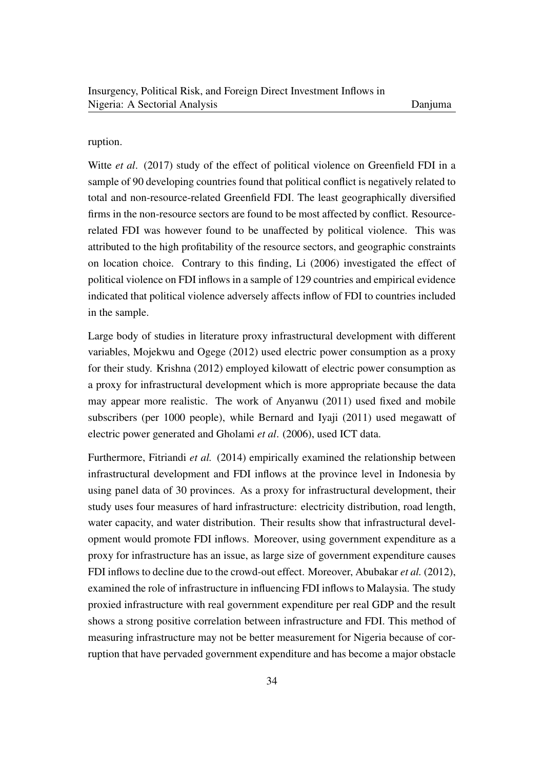#### ruption.

Witte *et al*. (2017) study of the effect of political violence on Greenfield FDI in a sample of 90 developing countries found that political conflict is negatively related to total and non-resource-related Greenfield FDI. The least geographically diversified firms in the non-resource sectors are found to be most affected by conflict. Resourcerelated FDI was however found to be unaffected by political violence. This was attributed to the high profitability of the resource sectors, and geographic constraints on location choice. Contrary to this finding, Li (2006) investigated the effect of political violence on FDI inflows in a sample of 129 countries and empirical evidence indicated that political violence adversely affects inflow of FDI to countries included in the sample.

Large body of studies in literature proxy infrastructural development with different variables, Mojekwu and Ogege (2012) used electric power consumption as a proxy for their study. Krishna (2012) employed kilowatt of electric power consumption as a proxy for infrastructural development which is more appropriate because the data may appear more realistic. The work of Anyanwu (2011) used fixed and mobile subscribers (per 1000 people), while Bernard and Iyaji (2011) used megawatt of electric power generated and Gholami *et al*. (2006), used ICT data.

Furthermore, Fitriandi *et al.* (2014) empirically examined the relationship between infrastructural development and FDI inflows at the province level in Indonesia by using panel data of 30 provinces. As a proxy for infrastructural development, their study uses four measures of hard infrastructure: electricity distribution, road length, water capacity, and water distribution. Their results show that infrastructural development would promote FDI inflows. Moreover, using government expenditure as a proxy for infrastructure has an issue, as large size of government expenditure causes FDI inflows to decline due to the crowd-out effect. Moreover, Abubakar *et al.* (2012), examined the role of infrastructure in influencing FDI inflows to Malaysia. The study proxied infrastructure with real government expenditure per real GDP and the result shows a strong positive correlation between infrastructure and FDI. This method of measuring infrastructure may not be better measurement for Nigeria because of corruption that have pervaded government expenditure and has become a major obstacle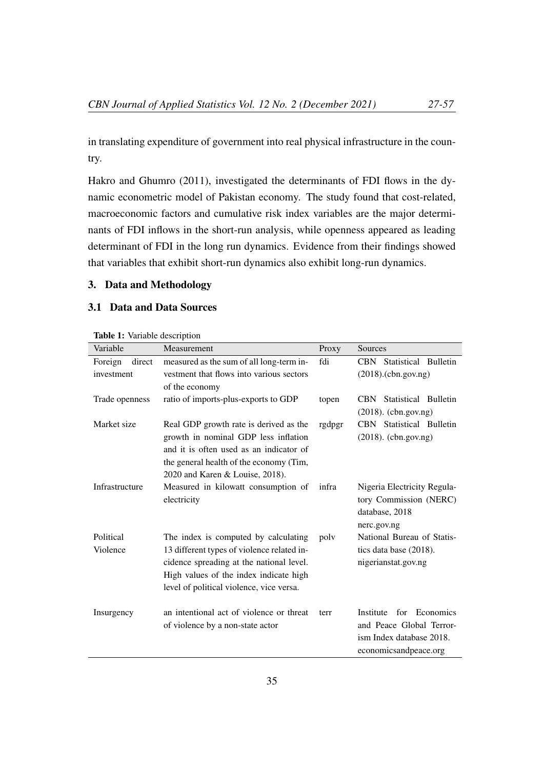in translating expenditure of government into real physical infrastructure in the country.

Hakro and Ghumro (2011), investigated the determinants of FDI flows in the dynamic econometric model of Pakistan economy. The study found that cost-related, macroeconomic factors and cumulative risk index variables are the major determinants of FDI inflows in the short-run analysis, while openness appeared as leading determinant of FDI in the long run dynamics. Evidence from their findings showed that variables that exhibit short-run dynamics also exhibit long-run dynamics.

# 3. Data and Methodology

# 3.1 Data and Data Sources

| <b>CBN</b> Statistical Bulletin  |  |  |
|----------------------------------|--|--|
| $(2018)$ . $(\text{cbn.gov.ng})$ |  |  |
|                                  |  |  |
| <b>CBN</b> Statistical Bulletin  |  |  |
| $(2018)$ . (cbn.gov.ng)          |  |  |
| CBN Statistical Bulletin         |  |  |
| $(2018)$ . (cbn.gov.ng)          |  |  |
|                                  |  |  |
|                                  |  |  |
|                                  |  |  |
| Nigeria Electricity Regula-      |  |  |
| tory Commission (NERC)           |  |  |
|                                  |  |  |
|                                  |  |  |
| National Bureau of Statis-       |  |  |
| tics data base (2018).           |  |  |
| nigerianstat.gov.ng              |  |  |
|                                  |  |  |
|                                  |  |  |
|                                  |  |  |
| for Economics                    |  |  |
| and Peace Global Terror-         |  |  |
| ism Index database 2018.         |  |  |
| economicsandpeace.org            |  |  |
| database, 2018                   |  |  |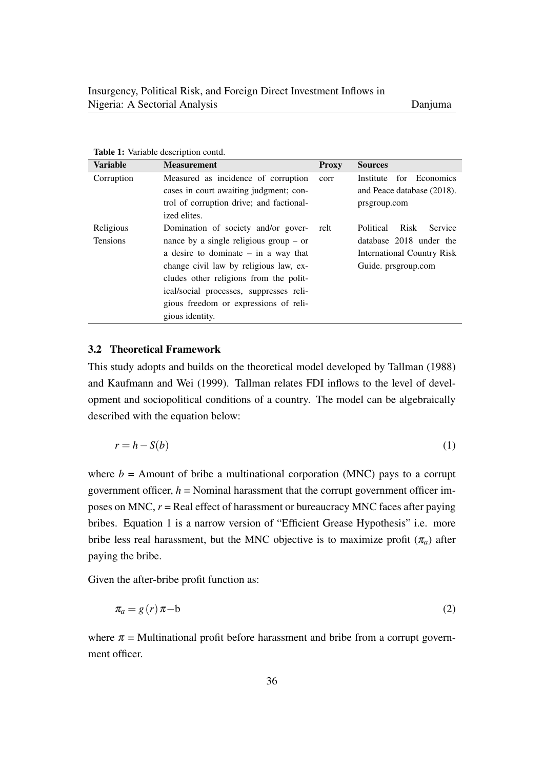| <b>Variable</b> | <b>Measurement</b>                       | <b>Proxy</b> | <b>Sources</b>                    |
|-----------------|------------------------------------------|--------------|-----------------------------------|
| Corruption      | Measured as incidence of corruption      | corr         | Institute for Economics           |
|                 | cases in court awaiting judgment; con-   |              | and Peace database (2018).        |
|                 | trol of corruption drive; and factional- |              | prsgroup.com                      |
|                 | ized elites.                             |              |                                   |
| Religious       | Domination of society and/or gover-      | relt         | Risk<br>Political<br>Service      |
| <b>Tensions</b> | nance by a single religious group $-$ or |              | database 2018 under the           |
|                 | a desire to dominate $-$ in a way that   |              | <b>International Country Risk</b> |
|                 | change civil law by religious law, ex-   |              | Guide. prsgroup.com               |
|                 | cludes other religions from the polit-   |              |                                   |
|                 | ical/social processes, suppresses reli-  |              |                                   |
|                 | gious freedom or expressions of reli-    |              |                                   |
|                 | gious identity.                          |              |                                   |

Table 1: Variable description contd.

#### 3.2 Theoretical Framework

This study adopts and builds on the theoretical model developed by Tallman (1988) and Kaufmann and Wei (1999). Tallman relates FDI inflows to the level of development and sociopolitical conditions of a country. The model can be algebraically described with the equation below:

$$
r = h - S(b) \tag{1}
$$

where  $b =$  Amount of bribe a multinational corporation (MNC) pays to a corrupt government officer,  $h =$  Nominal harassment that the corrupt government officer imposes on MNC, *r* = Real effect of harassment or bureaucracy MNC faces after paying bribes. Equation 1 is a narrow version of "Efficient Grease Hypothesis" i.e. more bribe less real harassment, but the MNC objective is to maximize profit  $(\pi_a)$  after paying the bribe.

Given the after-bribe profit function as:

$$
\pi_a = g(r)\pi - b \tag{2}
$$

where  $\pi$  = Multinational profit before harassment and bribe from a corrupt government officer.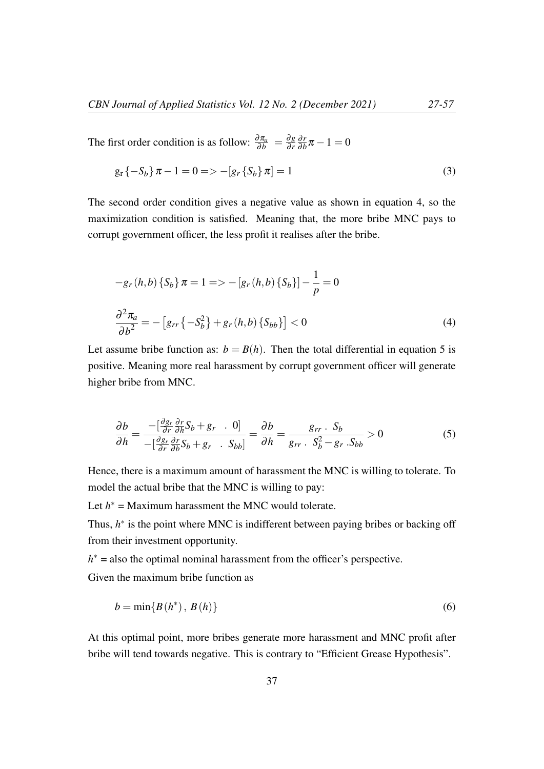The first order condition is as follow:  $\frac{\partial \pi_a}{\partial b} = \frac{\partial g}{\partial r}$ ∂ *r* ∂ *r*  $\frac{\partial r}{\partial b}\pi - 1 = 0$ 

$$
g_r\{-S_b\}\pi - 1 = 0 \Longrightarrow -[g_r\{S_b\}\pi] = 1
$$
\n(3)

The second order condition gives a negative value as shown in equation 4, so the maximization condition is satisfied. Meaning that, the more bribe MNC pays to corrupt government officer, the less profit it realises after the bribe.

$$
-g_r(h,b)\{S_b\}\pi = 1 \Longrightarrow -[g_r(h,b)\{S_b\}] - \frac{1}{p} = 0
$$
  

$$
\frac{\partial^2 \pi_a}{\partial b^2} = -[g_{rr}\{-S_b^2\} + g_r(h,b)\{S_{bb}\}] < 0
$$
 (4)

Let assume bribe function as:  $b = B(h)$ . Then the total differential in equation 5 is positive. Meaning more real harassment by corrupt government officer will generate higher bribe from MNC.

$$
\frac{\partial b}{\partial h} = \frac{-\left[\frac{\partial g_r}{\partial r}\frac{\partial r}{\partial h}S_b + g_r \cdot 0\right]}{-\left[\frac{\partial g_r}{\partial r}\frac{\partial r}{\partial b}S_b + g_r \cdot S_{bb}\right]} = \frac{\partial b}{\partial h} = \frac{g_{rr} \cdot S_b}{g_{rr} \cdot S_b^2 - g_r \cdot S_{bb}} > 0
$$
(5)

Hence, there is a maximum amount of harassment the MNC is willing to tolerate. To model the actual bribe that the MNC is willing to pay:

Let  $h^*$  = Maximum harassment the MNC would tolerate.

Thus,  $h^*$  is the point where MNC is indifferent between paying bribes or backing off from their investment opportunity.

 $h^*$  = also the optimal nominal harassment from the officer's perspective.

Given the maximum bribe function as

$$
b = \min\{B(h^*), B(h)\}\tag{6}
$$

At this optimal point, more bribes generate more harassment and MNC profit after bribe will tend towards negative. This is contrary to "Efficient Grease Hypothesis".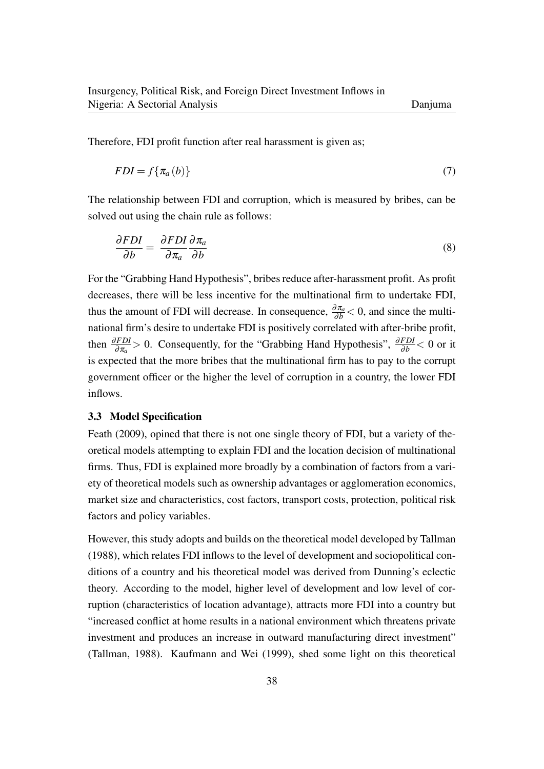Therefore, FDI profit function after real harassment is given as;

$$
FDI = f\{\pi_a(b)\}\tag{7}
$$

The relationship between FDI and corruption, which is measured by bribes, can be solved out using the chain rule as follows:

$$
\frac{\partial FDI}{\partial b} = \frac{\partial FDI}{\partial \pi_a} \frac{\partial \pi_a}{\partial b} \tag{8}
$$

For the "Grabbing Hand Hypothesis", bribes reduce after-harassment profit. As profit decreases, there will be less incentive for the multinational firm to undertake FDI, thus the amount of FDI will decrease. In consequence,  $\frac{\partial \pi_a}{\partial b}$  < 0, and since the multinational firm's desire to undertake FDI is positively correlated with after-bribe profit, then  $\frac{\partial FDI}{\partial \pi_a} > 0$ . Consequently, for the "Grabbing Hand Hypothesis",  $\frac{\partial FDI}{\partial b} < 0$  or it is expected that the more bribes that the multinational firm has to pay to the corrupt government officer or the higher the level of corruption in a country, the lower FDI inflows.

#### 3.3 Model Specification

Feath (2009), opined that there is not one single theory of FDI, but a variety of theoretical models attempting to explain FDI and the location decision of multinational firms. Thus, FDI is explained more broadly by a combination of factors from a variety of theoretical models such as ownership advantages or agglomeration economics, market size and characteristics, cost factors, transport costs, protection, political risk factors and policy variables.

However, this study adopts and builds on the theoretical model developed by Tallman (1988), which relates FDI inflows to the level of development and sociopolitical conditions of a country and his theoretical model was derived from Dunning's eclectic theory. According to the model, higher level of development and low level of corruption (characteristics of location advantage), attracts more FDI into a country but "increased conflict at home results in a national environment which threatens private investment and produces an increase in outward manufacturing direct investment" (Tallman, 1988). Kaufmann and Wei (1999), shed some light on this theoretical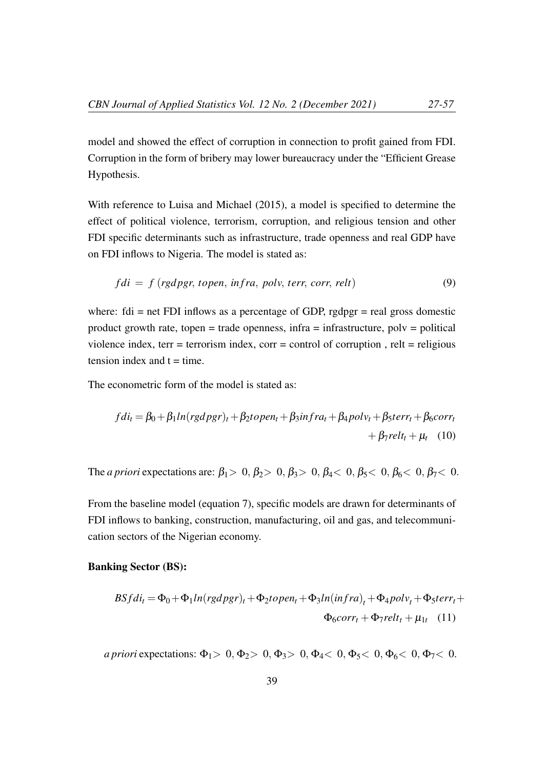model and showed the effect of corruption in connection to profit gained from FDI. Corruption in the form of bribery may lower bureaucracy under the "Efficient Grease Hypothesis.

With reference to Luisa and Michael (2015), a model is specified to determine the effect of political violence, terrorism, corruption, and religious tension and other FDI specific determinants such as infrastructure, trade openness and real GDP have on FDI inflows to Nigeria. The model is stated as:

$$
fdi = f (rgdpgr, topen, infra, polv, terr, corr, relt)
$$
\n(9)

where:  $fdi = net FDI$  inflows as a percentage of GDP, rgdpgr = real gross domestic product growth rate, topen = trade openness,  $\text{infra} = \text{infrastructure}$ ,  $\text{poly} = \text{political}$ violence index, terr = terrorism index, corr = control of corruption, relt = religious tension index and  $t = time$ .

The econometric form of the model is stated as:

$$
fdi_t = \beta_0 + \beta_1 ln(rgdpgr)_t + \beta_2 topen_t + \beta_3 infra_t + \beta_4 poly_t + \beta_5 terr_t + \beta_6 corr_t + \beta_7 relt_t + \mu_t \quad (10)
$$

The *a priori* expectations are:  $\beta_1 > 0$ ,  $\beta_2 > 0$ ,  $\beta_3 > 0$ ,  $\beta_4 < 0$ ,  $\beta_5 < 0$ ,  $\beta_6 < 0$ ,  $\beta_7 < 0$ .

From the baseline model (equation 7), specific models are drawn for determinants of FDI inflows to banking, construction, manufacturing, oil and gas, and telecommunication sectors of the Nigerian economy.

## Banking Sector (BS):

$$
BSfdi_t = \Phi_0 + \Phi_1 ln(rgdpgr)_t + \Phi_2 topen_t + \Phi_3 ln(infra)_t + \Phi_4 polv_t + \Phi_5 terr_t + \Phi_6 corr_t + \Phi_7 relt_t + \mu_{1t} \quad (11)
$$

*a priori* expectations:  $\Phi_1 > 0$ ,  $\Phi_2 > 0$ ,  $\Phi_3 > 0$ ,  $\Phi_4 < 0$ ,  $\Phi_5 < 0$ ,  $\Phi_6 < 0$ ,  $\Phi_7 < 0$ .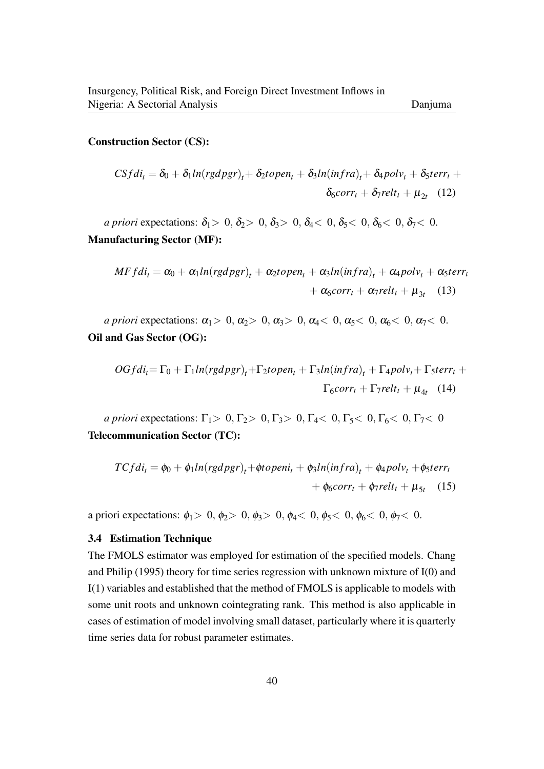#### Construction Sector (CS):

$$
CSfdi_t = \delta_0 + \delta_1 ln(rgdpgr)_t + \delta_2 topen_t + \delta_3 ln(infra)_t + \delta_4 polv_t + \delta_5 terr_t + \delta_6 corr_t + \delta_7 relt_t + \mu_{2t} \quad (12)
$$

*a priori* expectations:  $\delta_1 > 0$ ,  $\delta_2 > 0$ ,  $\delta_3 > 0$ ,  $\delta_4 < 0$ ,  $\delta_5 < 0$ ,  $\delta_6 < 0$ ,  $\delta_7 < 0$ . Manufacturing Sector (MF):

$$
MFfdi_t = \alpha_0 + \alpha_1 ln(rgdpgr)_t + \alpha_2 topen_t + \alpha_3 ln(infra)_t + \alpha_4 polv_t + \alpha_5 terr_t + \alpha_6 corr_t + \alpha_7 relt_t + \mu_{3t} \quad (13)
$$

*a priori* expectations:  $\alpha_1 > 0$ ,  $\alpha_2 > 0$ ,  $\alpha_3 > 0$ ,  $\alpha_4 < 0$ ,  $\alpha_5 < 0$ ,  $\alpha_6 < 0$ ,  $\alpha_7 < 0$ . Oil and Gas Sector (OG):

$$
OGfdi_t = \Gamma_0 + \Gamma_1 ln(rgdpgr)_t + \Gamma_2 topen_t + \Gamma_3 ln(infra)_t + \Gamma_4 polv_t + \Gamma_5 terr_t + \Gamma_6 corr_t + \Gamma_7 relt_t + \mu_{4t} \quad (14)
$$

*a priori* expectations:  $\Gamma_1 > 0, \Gamma_2 > 0, \Gamma_3 > 0, \Gamma_4 < 0, \Gamma_5 < 0, \Gamma_6 < 0, \Gamma_7 < 0$ Telecommunication Sector (TC):

$$
TCfdi_t = \phi_0 + \phi_1 ln(rgdpgr)_t + \phi topeni_t + \phi_3 ln(infra)_t + \phi_4 polv_t + \phi_5 terr_t
$$
  
+  $\phi_6 corr_t + \phi_7 relt_t + \mu_{5t}$  (15)

a priori expectations:  $\phi_1 > 0$ ,  $\phi_2 > 0$ ,  $\phi_3 > 0$ ,  $\phi_4 < 0$ ,  $\phi_5 < 0$ ,  $\phi_6 < 0$ ,  $\phi_7 < 0$ .

#### 3.4 Estimation Technique

The FMOLS estimator was employed for estimation of the specified models. Chang and Philip (1995) theory for time series regression with unknown mixture of I(0) and I(1) variables and established that the method of FMOLS is applicable to models with some unit roots and unknown cointegrating rank. This method is also applicable in cases of estimation of model involving small dataset, particularly where it is quarterly time series data for robust parameter estimates.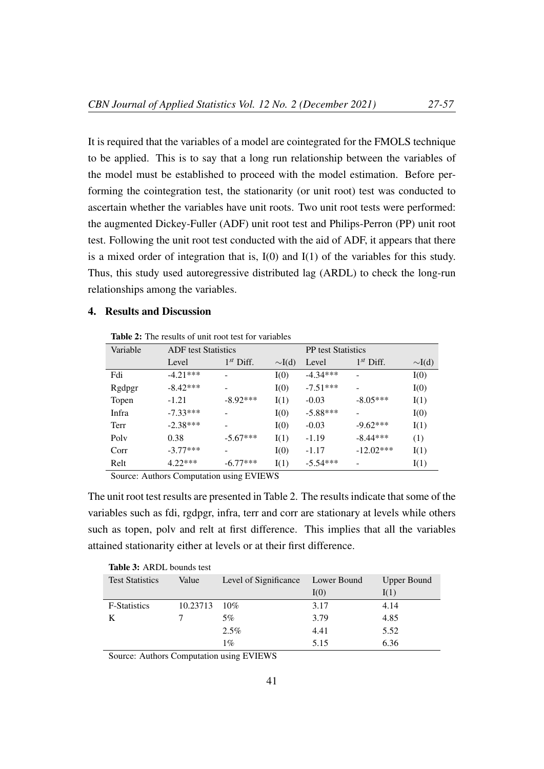It is required that the variables of a model are cointegrated for the FMOLS technique to be applied. This is to say that a long run relationship between the variables of the model must be established to proceed with the model estimation. Before performing the cointegration test, the stationarity (or unit root) test was conducted to ascertain whether the variables have unit roots. Two unit root tests were performed: the augmented Dickey-Fuller (ADF) unit root test and Philips-Perron (PP) unit root test. Following the unit root test conducted with the aid of ADF, it appears that there is a mixed order of integration that is, I(0) and I(1) of the variables for this study. Thus, this study used autoregressive distributed lag (ARDL) to check the long-run relationships among the variables.

# 4. Results and Discussion

Table 2: The results of unit root test for variables

| Variable | <b>ADF</b> test Statistics |                |             | <b>PP</b> test Statistics |                |             |
|----------|----------------------------|----------------|-------------|---------------------------|----------------|-------------|
|          | Level                      | $1^{st}$ Diff. | $\sim I(d)$ | Level                     | $1^{st}$ Diff. | $\sim I(d)$ |
| Fdi      | $-4.21***$                 |                | I(0)        | $-4.34***$                |                | I(0)        |
| Rgdpgr   | $-8.42***$                 |                | I(0)        | $-7.51***$                |                | I(0)        |
| Topen    | $-1.21$                    | $-8.92***$     | I(1)        | $-0.03$                   | $-8.05***$     | I(1)        |
| Infra    | $-7.33***$                 |                | I(0)        | $-5.88***$                |                | I(0)        |
| Terr     | $-2.38***$                 |                | I(0)        | $-0.03$                   | $-9.62***$     | I(1)        |
| Poly     | 0.38                       | $-5.67***$     | I(1)        | $-1.19$                   | $-8.44***$     | (1)         |
| Corr     | $-3.77***$                 |                | I(0)        | $-1.17$                   | $-12.02***$    | I(1)        |
| Relt     | $4.22***$                  | $-6.77***$     | I(1)        | $-5.54***$                |                | I(1)        |

Source: Authors Computation using EVIEWS

The unit root test results are presented in Table 2. The results indicate that some of the variables such as fdi, rgdpgr, infra, terr and corr are stationary at levels while others such as topen, polv and relt at first difference. This implies that all the variables attained stationarity either at levels or at their first difference.

| <b>Table 3: ARDL bounds test</b> |          |                       |             |                    |  |  |
|----------------------------------|----------|-----------------------|-------------|--------------------|--|--|
| <b>Test Statistics</b>           | Value    | Level of Significance | Lower Bound | <b>Upper Bound</b> |  |  |
|                                  |          |                       | I(0)        | I(1)               |  |  |
| <b>F-Statistics</b>              | 10.23713 | 10%                   | 3.17        | 4.14               |  |  |
|                                  |          | 5%                    | 3.79        | 4.85               |  |  |
|                                  |          | 2.5%                  | 4.41        | 5.52               |  |  |
|                                  |          | 1%                    | 5.15        | 6.36               |  |  |

Source: Authors Computation using EVIEWS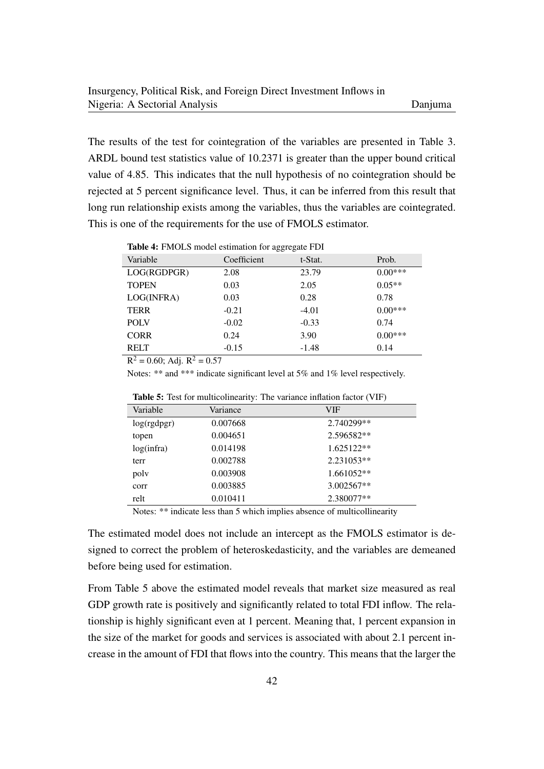The results of the test for cointegration of the variables are presented in Table 3. ARDL bound test statistics value of 10.2371 is greater than the upper bound critical value of 4.85. This indicates that the null hypothesis of no cointegration should be rejected at 5 percent significance level. Thus, it can be inferred from this result that long run relationship exists among the variables, thus the variables are cointegrated. This is one of the requirements for the use of FMOLS estimator.

Table 4: FMOLS model estimation for aggregate FDI

| Variable              | Coefficient | t-Stat. | Prob.     |
|-----------------------|-------------|---------|-----------|
| LOG(RGDPGR)           | 2.08        | 23.79   | $0.00***$ |
| <b>TOPEN</b>          | 0.03        | 2.05    | $0.05**$  |
| LOG(INFRA)            | 0.03        | 0.28    | 0.78      |
| <b>TERR</b>           | $-0.21$     | $-4.01$ | $0.00***$ |
| <b>POLV</b>           | $-0.02$     | $-0.33$ | 0.74      |
| <b>CORR</b>           | 0.24        | 3.90    | $0.00***$ |
| <b>RELT</b><br>$\sim$ | $-0.15$     | $-1.48$ | 0.14      |

 $R^2 = 0.60$ ; Adj.  $R^2 = 0.57$ 

Notes: \*\* and \*\*\* indicate significant level at 5% and 1% level respectively.

| Variable    | Variance | <b>VIF</b> |
|-------------|----------|------------|
| log(rgdpgr) | 0.007668 | 2.740299** |
| topen       | 0.004651 | 2.596582** |
| log(intra)  | 0.014198 | 1.625122** |
| terr        | 0.002788 | 2.231053** |
| poly        | 0.003908 | 1.661052** |
| corr        | 0.003885 | 3.002567** |
| relt        | 0.010411 | 2.380077** |
|             |          |            |

Table 5: Test for multicolinearity: The variance inflation factor (VIF)

Notes: \*\* indicate less than 5 which implies absence of multicollinearity

The estimated model does not include an intercept as the FMOLS estimator is designed to correct the problem of heteroskedasticity, and the variables are demeaned before being used for estimation.

From Table 5 above the estimated model reveals that market size measured as real GDP growth rate is positively and significantly related to total FDI inflow. The relationship is highly significant even at 1 percent. Meaning that, 1 percent expansion in the size of the market for goods and services is associated with about 2.1 percent increase in the amount of FDI that flows into the country. This means that the larger the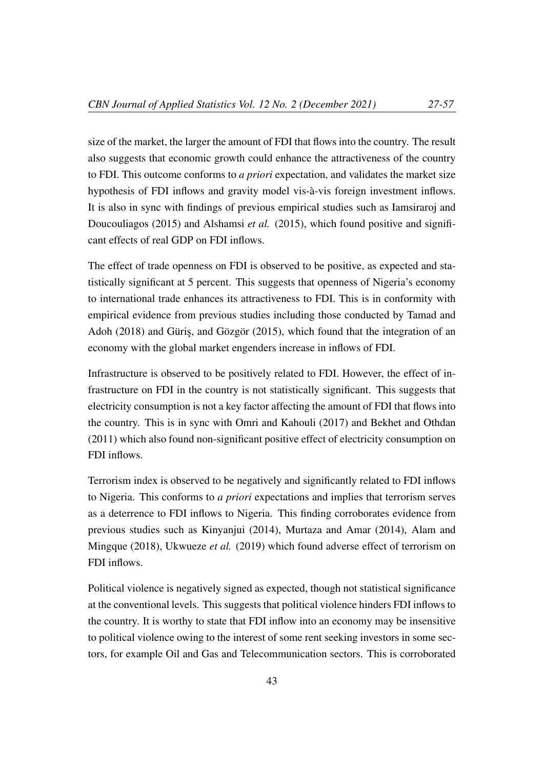size of the market, the larger the amount of FDI that flows into the country. The result also suggests that economic growth could enhance the attractiveness of the country to FDI. This outcome conforms to *a priori* expectation, and validates the market size hypothesis of FDI inflows and gravity model vis-à-vis foreign investment inflows. It is also in sync with findings of previous empirical studies such as Iamsiraroj and Doucouliagos (2015) and Alshamsi *et al.* (2015), which found positive and significant effects of real GDP on FDI inflows.

The effect of trade openness on FDI is observed to be positive, as expected and statistically significant at 5 percent. This suggests that openness of Nigeria's economy to international trade enhances its attractiveness to FDI. This is in conformity with empirical evidence from previous studies including those conducted by Tamad and Adoh (2018) and Güriş, and Gözgör (2015), which found that the integration of an economy with the global market engenders increase in inflows of FDI.

Infrastructure is observed to be positively related to FDI. However, the effect of infrastructure on FDI in the country is not statistically significant. This suggests that electricity consumption is not a key factor affecting the amount of FDI that flows into the country. This is in sync with Omri and Kahouli (2017) and Bekhet and Othdan (2011) which also found non-significant positive effect of electricity consumption on FDI inflows.

Terrorism index is observed to be negatively and significantly related to FDI inflows to Nigeria. This conforms to *a priori* expectations and implies that terrorism serves as a deterrence to FDI inflows to Nigeria. This finding corroborates evidence from previous studies such as Kinyanjui (2014), Murtaza and Amar (2014), Alam and Mingque (2018), Ukwueze *et al.* (2019) which found adverse effect of terrorism on FDI inflows.

Political violence is negatively signed as expected, though not statistical significance at the conventional levels. This suggests that political violence hinders FDI inflows to the country. It is worthy to state that FDI inflow into an economy may be insensitive to political violence owing to the interest of some rent seeking investors in some sectors, for example Oil and Gas and Telecommunication sectors. This is corroborated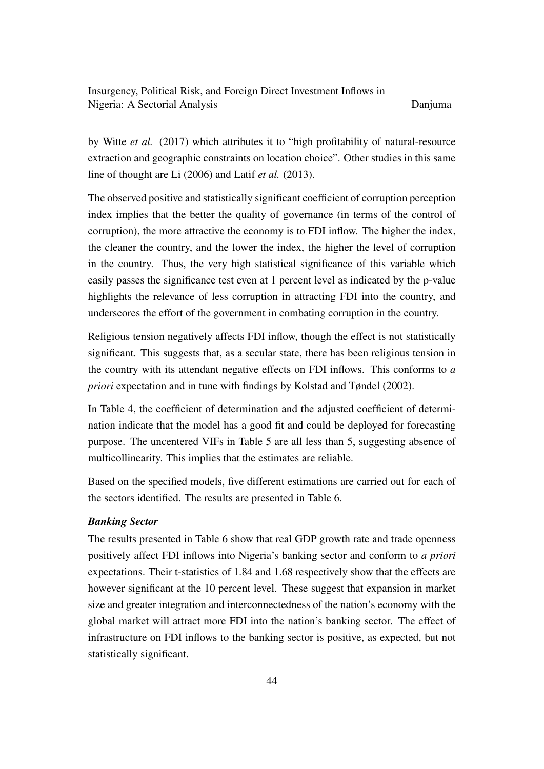by Witte *et al.* (2017) which attributes it to "high profitability of natural-resource extraction and geographic constraints on location choice". Other studies in this same line of thought are Li (2006) and Latif *et al.* (2013).

The observed positive and statistically significant coefficient of corruption perception index implies that the better the quality of governance (in terms of the control of corruption), the more attractive the economy is to FDI inflow. The higher the index, the cleaner the country, and the lower the index, the higher the level of corruption in the country. Thus, the very high statistical significance of this variable which easily passes the significance test even at 1 percent level as indicated by the p-value highlights the relevance of less corruption in attracting FDI into the country, and underscores the effort of the government in combating corruption in the country.

Religious tension negatively affects FDI inflow, though the effect is not statistically significant. This suggests that, as a secular state, there has been religious tension in the country with its attendant negative effects on FDI inflows. This conforms to *a priori* expectation and in tune with findings by Kolstad and Tøndel (2002).

In Table 4, the coefficient of determination and the adjusted coefficient of determination indicate that the model has a good fit and could be deployed for forecasting purpose. The uncentered VIFs in Table 5 are all less than 5, suggesting absence of multicollinearity. This implies that the estimates are reliable.

Based on the specified models, five different estimations are carried out for each of the sectors identified. The results are presented in Table 6.

# *Banking Sector*

The results presented in Table 6 show that real GDP growth rate and trade openness positively affect FDI inflows into Nigeria's banking sector and conform to *a priori* expectations. Their t-statistics of 1.84 and 1.68 respectively show that the effects are however significant at the 10 percent level. These suggest that expansion in market size and greater integration and interconnectedness of the nation's economy with the global market will attract more FDI into the nation's banking sector. The effect of infrastructure on FDI inflows to the banking sector is positive, as expected, but not statistically significant.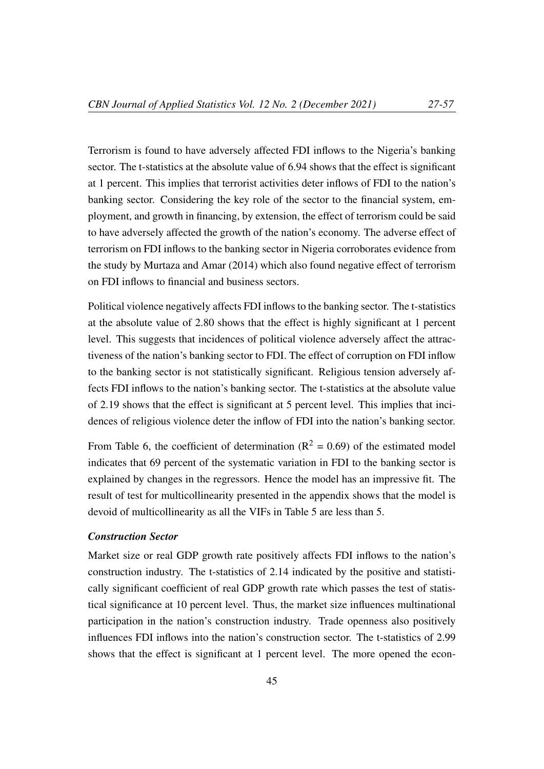Terrorism is found to have adversely affected FDI inflows to the Nigeria's banking sector. The t-statistics at the absolute value of 6.94 shows that the effect is significant at 1 percent. This implies that terrorist activities deter inflows of FDI to the nation's banking sector. Considering the key role of the sector to the financial system, employment, and growth in financing, by extension, the effect of terrorism could be said to have adversely affected the growth of the nation's economy. The adverse effect of terrorism on FDI inflows to the banking sector in Nigeria corroborates evidence from the study by Murtaza and Amar (2014) which also found negative effect of terrorism on FDI inflows to financial and business sectors.

Political violence negatively affects FDI inflows to the banking sector. The t-statistics at the absolute value of 2.80 shows that the effect is highly significant at 1 percent level. This suggests that incidences of political violence adversely affect the attractiveness of the nation's banking sector to FDI. The effect of corruption on FDI inflow to the banking sector is not statistically significant. Religious tension adversely affects FDI inflows to the nation's banking sector. The t-statistics at the absolute value of 2.19 shows that the effect is significant at 5 percent level. This implies that incidences of religious violence deter the inflow of FDI into the nation's banking sector.

From Table 6, the coefficient of determination ( $R^2 = 0.69$ ) of the estimated model indicates that 69 percent of the systematic variation in FDI to the banking sector is explained by changes in the regressors. Hence the model has an impressive fit. The result of test for multicollinearity presented in the appendix shows that the model is devoid of multicollinearity as all the VIFs in Table 5 are less than 5.

# *Construction Sector*

Market size or real GDP growth rate positively affects FDI inflows to the nation's construction industry. The t-statistics of 2.14 indicated by the positive and statistically significant coefficient of real GDP growth rate which passes the test of statistical significance at 10 percent level. Thus, the market size influences multinational participation in the nation's construction industry. Trade openness also positively influences FDI inflows into the nation's construction sector. The t-statistics of 2.99 shows that the effect is significant at 1 percent level. The more opened the econ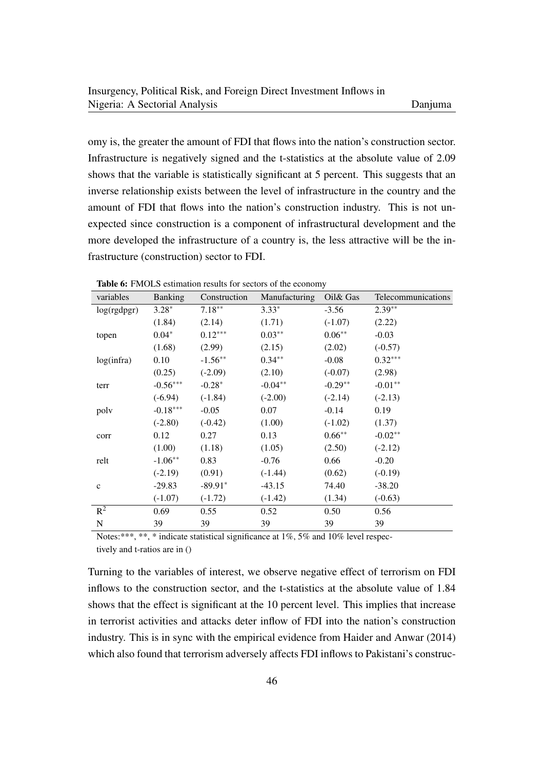omy is, the greater the amount of FDI that flows into the nation's construction sector. Infrastructure is negatively signed and the t-statistics at the absolute value of 2.09 shows that the variable is statistically significant at 5 percent. This suggests that an inverse relationship exists between the level of infrastructure in the country and the amount of FDI that flows into the nation's construction industry. This is not unexpected since construction is a component of infrastructural development and the more developed the infrastructure of a country is, the less attractive will be the infrastructure (construction) sector to FDI.

| variables    | <b>Banking</b> | Construction | Manufacturing | Oil& Gas  | Telecommunications |
|--------------|----------------|--------------|---------------|-----------|--------------------|
| log(rgdpgr)  | $3.28*$        | $7.18**$     | $3.33*$       | $-3.56$   | $2.39**$           |
|              | (1.84)         | (2.14)       | (1.71)        | $(-1.07)$ | (2.22)             |
| topen        | $0.04*$        | $0.12***$    | $0.03**$      | $0.06**$  | $-0.03$            |
|              | (1.68)         | (2.99)       | (2.15)        | (2.02)    | $(-0.57)$          |
| log(infra)   | 0.10           | $-1.56**$    | $0.34***$     | $-0.08$   | $0.32***$          |
|              | (0.25)         | $(-2.09)$    | (2.10)        | $(-0.07)$ | (2.98)             |
| terr         | $-0.56***$     | $-0.28*$     | $-0.04**$     | $-0.29**$ | $-0.01**$          |
|              | $(-6.94)$      | $(-1.84)$    | $(-2.00)$     | $(-2.14)$ | $(-2.13)$          |
| poly         | $-0.18***$     | $-0.05$      | 0.07          | $-0.14$   | 0.19               |
|              | $(-2.80)$      | $(-0.42)$    | (1.00)        | $(-1.02)$ | (1.37)             |
| corr         | 0.12           | 0.27         | 0.13          | $0.66**$  | $-0.02**$          |
|              | (1.00)         | (1.18)       | (1.05)        | (2.50)    | $(-2.12)$          |
| relt         | $-1.06**$      | 0.83         | $-0.76$       | 0.66      | $-0.20$            |
|              | $(-2.19)$      | (0.91)       | $(-1.44)$     | (0.62)    | $(-0.19)$          |
| $\mathbf{C}$ | $-29.83$       | $-89.91*$    | $-43.15$      | 74.40     | $-38.20$           |
|              | $(-1.07)$      | $(-1.72)$    | $(-1.42)$     | (1.34)    | $(-0.63)$          |
| $R^2$        | 0.69           | 0.55         | 0.52          | 0.50      | 0.56               |
| ${\bf N}$    | 39             | 39           | 39            | 39        | 39                 |

Table 6: FMOLS estimation results for sectors of the economy

Notes:\*\*\*, \*\*, \* indicate statistical significance at 1%, 5% and 10% level respectively and t-ratios are in ()

Turning to the variables of interest, we observe negative effect of terrorism on FDI inflows to the construction sector, and the t-statistics at the absolute value of 1.84 shows that the effect is significant at the 10 percent level. This implies that increase in terrorist activities and attacks deter inflow of FDI into the nation's construction industry. This is in sync with the empirical evidence from Haider and Anwar (2014) which also found that terrorism adversely affects FDI inflows to Pakistani's construc-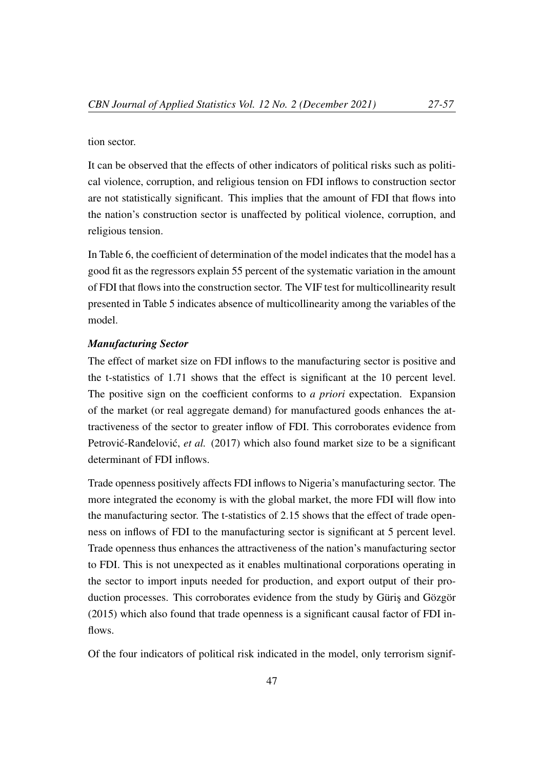#### tion sector.

It can be observed that the effects of other indicators of political risks such as political violence, corruption, and religious tension on FDI inflows to construction sector are not statistically significant. This implies that the amount of FDI that flows into the nation's construction sector is unaffected by political violence, corruption, and religious tension.

In Table 6, the coefficient of determination of the model indicates that the model has a good fit as the regressors explain 55 percent of the systematic variation in the amount of FDI that flows into the construction sector. The VIF test for multicollinearity result presented in Table 5 indicates absence of multicollinearity among the variables of the model.

# *Manufacturing Sector*

The effect of market size on FDI inflows to the manufacturing sector is positive and the t-statistics of 1.71 shows that the effect is significant at the 10 percent level. The positive sign on the coefficient conforms to *a priori* expectation. Expansion of the market (or real aggregate demand) for manufactured goods enhances the attractiveness of the sector to greater inflow of FDI. This corroborates evidence from Petrović-Ranđelović, *et al.* (2017) which also found market size to be a significant determinant of FDI inflows.

Trade openness positively affects FDI inflows to Nigeria's manufacturing sector. The more integrated the economy is with the global market, the more FDI will flow into the manufacturing sector. The t-statistics of 2.15 shows that the effect of trade openness on inflows of FDI to the manufacturing sector is significant at 5 percent level. Trade openness thus enhances the attractiveness of the nation's manufacturing sector to FDI. This is not unexpected as it enables multinational corporations operating in the sector to import inputs needed for production, and export output of their production processes. This corroborates evidence from the study by Güriş and Gözgör (2015) which also found that trade openness is a significant causal factor of FDI inflows.

Of the four indicators of political risk indicated in the model, only terrorism signif-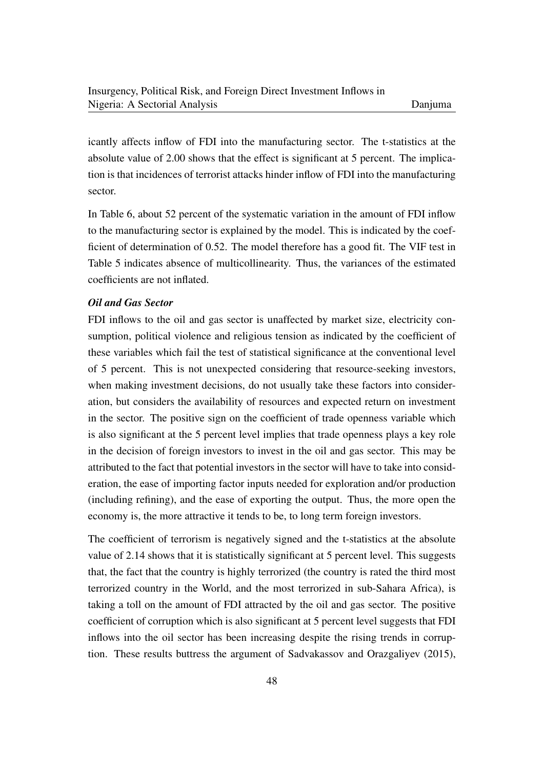icantly affects inflow of FDI into the manufacturing sector. The t-statistics at the absolute value of 2.00 shows that the effect is significant at 5 percent. The implication is that incidences of terrorist attacks hinder inflow of FDI into the manufacturing sector.

In Table 6, about 52 percent of the systematic variation in the amount of FDI inflow to the manufacturing sector is explained by the model. This is indicated by the coefficient of determination of 0.52. The model therefore has a good fit. The VIF test in Table 5 indicates absence of multicollinearity. Thus, the variances of the estimated coefficients are not inflated.

# *Oil and Gas Sector*

FDI inflows to the oil and gas sector is unaffected by market size, electricity consumption, political violence and religious tension as indicated by the coefficient of these variables which fail the test of statistical significance at the conventional level of 5 percent. This is not unexpected considering that resource-seeking investors, when making investment decisions, do not usually take these factors into consideration, but considers the availability of resources and expected return on investment in the sector. The positive sign on the coefficient of trade openness variable which is also significant at the 5 percent level implies that trade openness plays a key role in the decision of foreign investors to invest in the oil and gas sector. This may be attributed to the fact that potential investors in the sector will have to take into consideration, the ease of importing factor inputs needed for exploration and/or production (including refining), and the ease of exporting the output. Thus, the more open the economy is, the more attractive it tends to be, to long term foreign investors.

The coefficient of terrorism is negatively signed and the t-statistics at the absolute value of 2.14 shows that it is statistically significant at 5 percent level. This suggests that, the fact that the country is highly terrorized (the country is rated the third most terrorized country in the World, and the most terrorized in sub-Sahara Africa), is taking a toll on the amount of FDI attracted by the oil and gas sector. The positive coefficient of corruption which is also significant at 5 percent level suggests that FDI inflows into the oil sector has been increasing despite the rising trends in corruption. These results buttress the argument of Sadvakassov and Orazgaliyev (2015),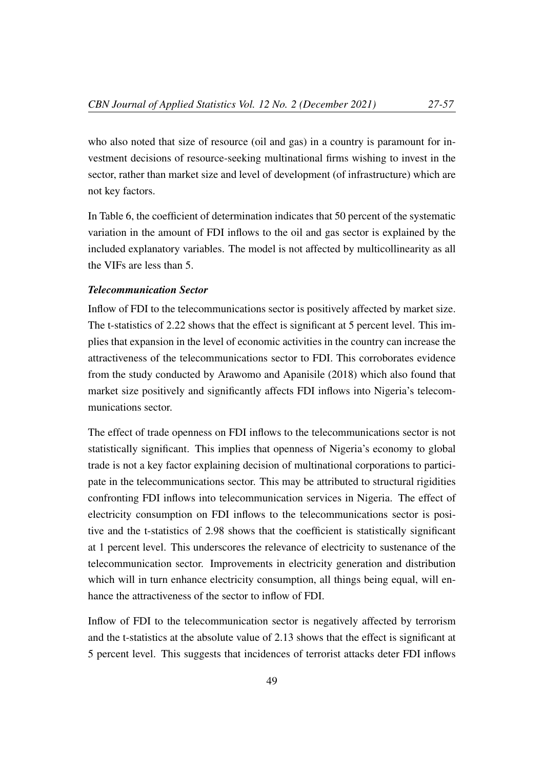who also noted that size of resource (oil and gas) in a country is paramount for investment decisions of resource-seeking multinational firms wishing to invest in the sector, rather than market size and level of development (of infrastructure) which are not key factors.

In Table 6, the coefficient of determination indicates that 50 percent of the systematic variation in the amount of FDI inflows to the oil and gas sector is explained by the included explanatory variables. The model is not affected by multicollinearity as all the VIFs are less than 5.

# *Telecommunication Sector*

Inflow of FDI to the telecommunications sector is positively affected by market size. The t-statistics of 2.22 shows that the effect is significant at 5 percent level. This implies that expansion in the level of economic activities in the country can increase the attractiveness of the telecommunications sector to FDI. This corroborates evidence from the study conducted by Arawomo and Apanisile (2018) which also found that market size positively and significantly affects FDI inflows into Nigeria's telecommunications sector.

The effect of trade openness on FDI inflows to the telecommunications sector is not statistically significant. This implies that openness of Nigeria's economy to global trade is not a key factor explaining decision of multinational corporations to participate in the telecommunications sector. This may be attributed to structural rigidities confronting FDI inflows into telecommunication services in Nigeria. The effect of electricity consumption on FDI inflows to the telecommunications sector is positive and the t-statistics of 2.98 shows that the coefficient is statistically significant at 1 percent level. This underscores the relevance of electricity to sustenance of the telecommunication sector. Improvements in electricity generation and distribution which will in turn enhance electricity consumption, all things being equal, will enhance the attractiveness of the sector to inflow of FDI.

Inflow of FDI to the telecommunication sector is negatively affected by terrorism and the t-statistics at the absolute value of 2.13 shows that the effect is significant at 5 percent level. This suggests that incidences of terrorist attacks deter FDI inflows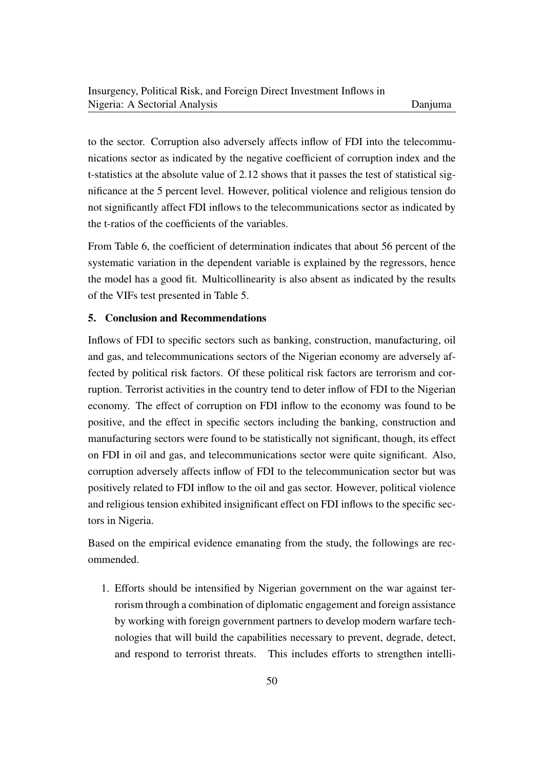to the sector. Corruption also adversely affects inflow of FDI into the telecommunications sector as indicated by the negative coefficient of corruption index and the t-statistics at the absolute value of 2.12 shows that it passes the test of statistical significance at the 5 percent level. However, political violence and religious tension do not significantly affect FDI inflows to the telecommunications sector as indicated by the t-ratios of the coefficients of the variables.

From Table 6, the coefficient of determination indicates that about 56 percent of the systematic variation in the dependent variable is explained by the regressors, hence the model has a good fit. Multicollinearity is also absent as indicated by the results of the VIFs test presented in Table 5.

# 5. Conclusion and Recommendations

Inflows of FDI to specific sectors such as banking, construction, manufacturing, oil and gas, and telecommunications sectors of the Nigerian economy are adversely affected by political risk factors. Of these political risk factors are terrorism and corruption. Terrorist activities in the country tend to deter inflow of FDI to the Nigerian economy. The effect of corruption on FDI inflow to the economy was found to be positive, and the effect in specific sectors including the banking, construction and manufacturing sectors were found to be statistically not significant, though, its effect on FDI in oil and gas, and telecommunications sector were quite significant. Also, corruption adversely affects inflow of FDI to the telecommunication sector but was positively related to FDI inflow to the oil and gas sector. However, political violence and religious tension exhibited insignificant effect on FDI inflows to the specific sectors in Nigeria.

Based on the empirical evidence emanating from the study, the followings are recommended.

1. Efforts should be intensified by Nigerian government on the war against terrorism through a combination of diplomatic engagement and foreign assistance by working with foreign government partners to develop modern warfare technologies that will build the capabilities necessary to prevent, degrade, detect, and respond to terrorist threats. This includes efforts to strengthen intelli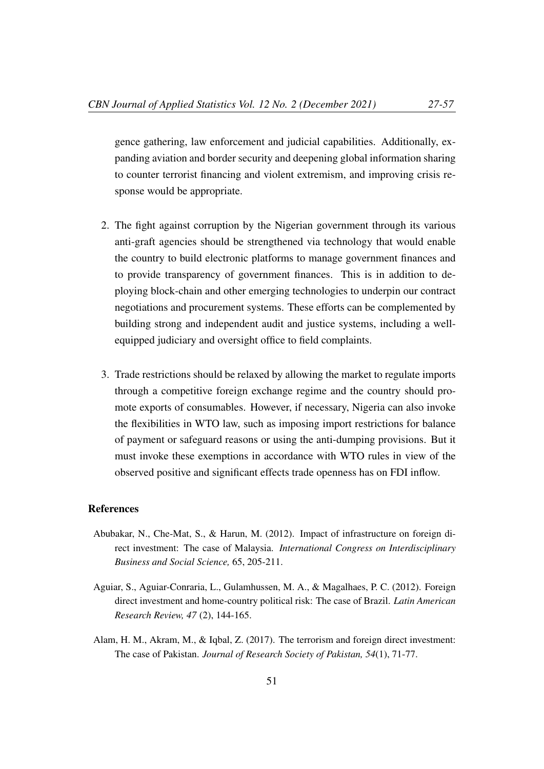gence gathering, law enforcement and judicial capabilities. Additionally, expanding aviation and border security and deepening global information sharing to counter terrorist financing and violent extremism, and improving crisis response would be appropriate.

- 2. The fight against corruption by the Nigerian government through its various anti-graft agencies should be strengthened via technology that would enable the country to build electronic platforms to manage government finances and to provide transparency of government finances. This is in addition to deploying block-chain and other emerging technologies to underpin our contract negotiations and procurement systems. These efforts can be complemented by building strong and independent audit and justice systems, including a wellequipped judiciary and oversight office to field complaints.
- 3. Trade restrictions should be relaxed by allowing the market to regulate imports through a competitive foreign exchange regime and the country should promote exports of consumables. However, if necessary, Nigeria can also invoke the flexibilities in WTO law, such as imposing import restrictions for balance of payment or safeguard reasons or using the anti-dumping provisions. But it must invoke these exemptions in accordance with WTO rules in view of the observed positive and significant effects trade openness has on FDI inflow.

## References

- Abubakar, N., Che-Mat, S., & Harun, M. (2012). Impact of infrastructure on foreign direct investment: The case of Malaysia. *International Congress on Interdisciplinary Business and Social Science,* 65, 205-211.
- Aguiar, S., Aguiar-Conraria, L., Gulamhussen, M. A., & Magalhaes, P. C. (2012). Foreign direct investment and home-country political risk: The case of Brazil. *Latin American Research Review, 47* (2), 144-165.
- Alam, H. M., Akram, M., & Iqbal, Z. (2017). The terrorism and foreign direct investment: The case of Pakistan. *Journal of Research Society of Pakistan, 54*(1), 71-77.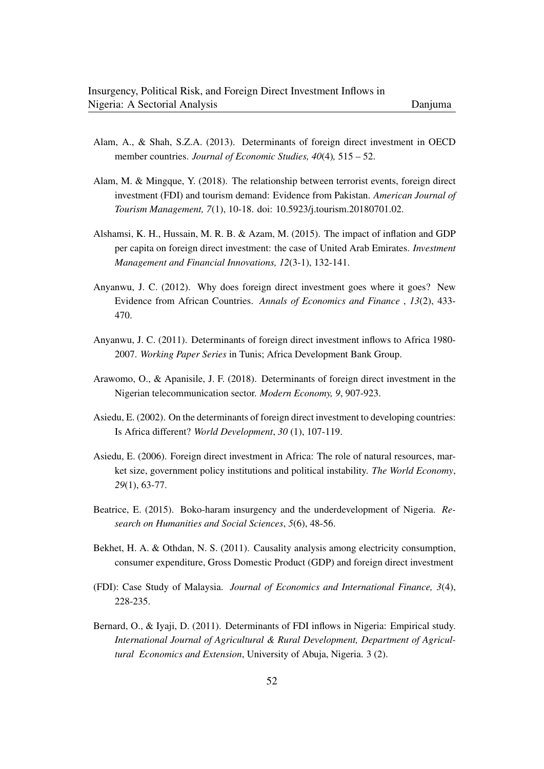- Alam, A., & Shah, S.Z.A. (2013). Determinants of foreign direct investment in OECD member countries. *Journal of Economic Studies, 40*(4)*,* 515 – 52.
- Alam, M. & Mingque, Y. (2018). The relationship between terrorist events, foreign direct investment (FDI) and tourism demand: Evidence from Pakistan. *American Journal of Tourism Management, 7*(1), 10-18. doi: 10.5923/j.tourism.20180701.02.
- Alshamsi, K. H., Hussain, M. R. B. & Azam, M. (2015). The impact of inflation and GDP per capita on foreign direct investment: the case of United Arab Emirates. *Investment Management and Financial Innovations, 12*(3-1), 132-141.
- Anyanwu, J. C. (2012). Why does foreign direct investment goes where it goes? New Evidence from African Countries. *Annals of Economics and Finance* , *13*(2), 433- 470.
- Anyanwu, J. C. (2011). Determinants of foreign direct investment inflows to Africa 1980- 2007. *Working Paper Series* in Tunis; Africa Development Bank Group.
- Arawomo, O., & Apanisile, J. F. (2018). Determinants of foreign direct investment in the Nigerian telecommunication sector. *Modern Economy, 9*, 907-923.
- Asiedu, E. (2002). On the determinants of foreign direct investment to developing countries: Is Africa different? *World Development*, *30* (1), 107-119.
- Asiedu, E. (2006). Foreign direct investment in Africa: The role of natural resources, market size, government policy institutions and political instability. *The World Economy*, *29*(1), 63-77.
- Beatrice, E. (2015). Boko-haram insurgency and the underdevelopment of Nigeria. *Research on Humanities and Social Sciences*, *5*(6), 48-56.
- Bekhet, H. A. & Othdan, N. S. (2011). Causality analysis among electricity consumption, consumer expenditure, Gross Domestic Product (GDP) and foreign direct investment
- (FDI): Case Study of Malaysia. *Journal of Economics and International Finance, 3*(4), 228-235.
- Bernard, O., & Iyaji, D. (2011). Determinants of FDI inflows in Nigeria: Empirical study. *International Journal of Agricultural & Rural Development, Department of Agricultural Economics and Extension*, University of Abuja, Nigeria. 3 (2).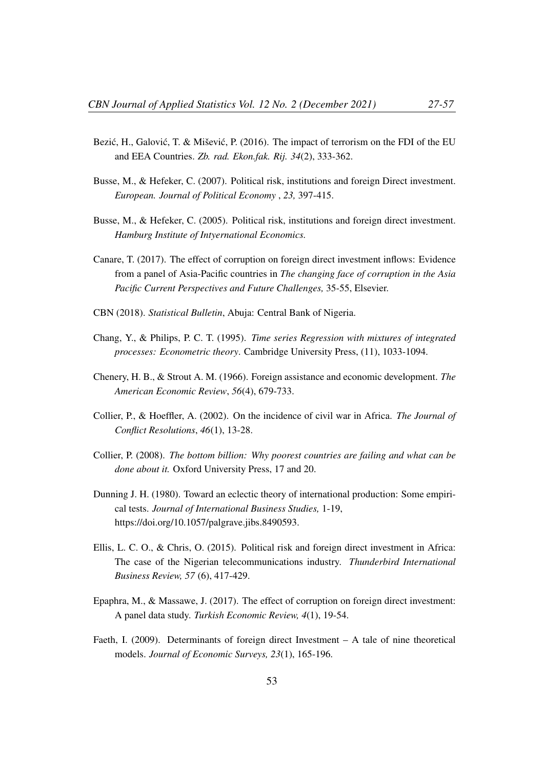- Bezić, H., Galović, T. & Mišević, P. (2016). The impact of terrorism on the FDI of the EU and EEA Countries. *Zb. rad. Ekon.fak. Rij. 34*(2), 333-362.
- Busse, M., & Hefeker, C. (2007). Political risk, institutions and foreign Direct investment. *European. Journal of Political Economy* , *23,* 397-415.
- Busse, M., & Hefeker, C. (2005). Political risk, institutions and foreign direct investment. *Hamburg Institute of Intyernational Economics.*
- Canare, T. (2017). The effect of corruption on foreign direct investment inflows: Evidence from a panel of Asia-Pacific countries in *The changing face of corruption in the Asia Pacific Current Perspectives and Future Challenges,* 35-55, Elsevier.
- CBN (2018). *Statistical Bulletin*, Abuja: Central Bank of Nigeria.
- Chang, Y., & Philips, P. C. T. (1995). *Time series Regression with mixtures of integrated processes: Econometric theory*. Cambridge University Press, (11), 1033-1094.
- Chenery, H. B., & Strout A. M. (1966). Foreign assistance and economic development. *The American Economic Review*, *56*(4), 679-733.
- Collier, P., & Hoeffler, A. (2002). On the incidence of civil war in Africa. *The Journal of Conflict Resolutions*, *46*(1), 13-28.
- Collier, P. (2008). *The bottom billion: Why poorest countries are failing and what can be done about it.* Oxford University Press, 17 and 20.
- Dunning J. H. (1980). Toward an eclectic theory of international production: Some empirical tests. *Journal of International Business Studies,* 1-19, https://doi.org/10.1057/palgrave.jibs.8490593.
- Ellis, L. C. O., & Chris, O. (2015). Political risk and foreign direct investment in Africa: The case of the Nigerian telecommunications industry. *Thunderbird International Business Review, 57* (6), 417-429.
- Epaphra, M., & Massawe, J. (2017). The effect of corruption on foreign direct investment: A panel data study. *Turkish Economic Review, 4*(1), 19-54.
- Faeth, I. (2009). Determinants of foreign direct Investment A tale of nine theoretical models. *Journal of Economic Surveys, 23*(1), 165-196.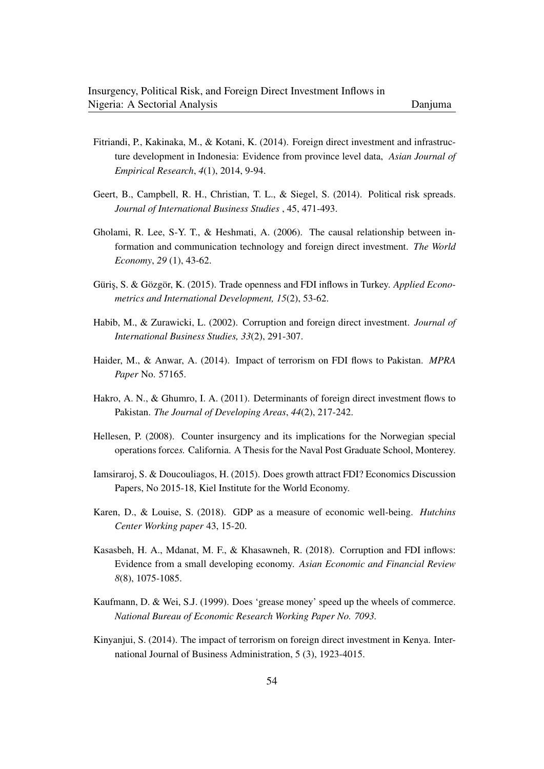- Fitriandi, P., Kakinaka, M., & Kotani, K. (2014). Foreign direct investment and infrastructure development in Indonesia: Evidence from province level data, *Asian Journal of Empirical Research*, *4*(1), 2014, 9-94.
- Geert, B., Campbell, R. H., Christian, T. L., & Siegel, S. (2014). Political risk spreads. *Journal of International Business Studies* , 45, 471-493.
- Gholami, R. Lee, S-Y. T., & Heshmati, A. (2006). The causal relationship between information and communication technology and foreign direct investment. *The World Economy*, *29* (1), 43-62.
- Güriş, S. & Gözgör, K. (2015). Trade openness and FDI inflows in Turkey. *Applied Econometrics and International Development, 15*(2), 53-62.
- Habib, M., & Zurawicki, L. (2002). Corruption and foreign direct investment. *Journal of International Business Studies, 33*(2), 291-307.
- Haider, M., & Anwar, A. (2014). Impact of terrorism on FDI flows to Pakistan. *MPRA Paper* No. 57165.
- Hakro, A. N., & Ghumro, I. A. (2011). Determinants of foreign direct investment flows to Pakistan. *The Journal of Developing Areas*, *44*(2), 217-242.
- Hellesen, P. (2008). Counter insurgency and its implications for the Norwegian special operations force*s.* California. A Thesis for the Naval Post Graduate School, Monterey.
- Iamsiraroj, S. & Doucouliagos, H. (2015). Does growth attract FDI? Economics Discussion Papers, No 2015-18, Kiel Institute for the World Economy.
- Karen, D., & Louise, S. (2018). GDP as a measure of economic well-being. *Hutchins Center Working paper* 43, 15-20.
- Kasasbeh, H. A., Mdanat, M. F., & Khasawneh, R. (2018). Corruption and FDI inflows: Evidence from a small developing economy. *Asian Economic and Financial Review 8*(8), 1075-1085.
- Kaufmann, D. & Wei, S.J. (1999). Does 'grease money' speed up the wheels of commerce. *National Bureau of Economic Research Working Paper No. 7093.*
- Kinyanjui, S. (2014). The impact of terrorism on foreign direct investment in Kenya. International Journal of Business Administration, 5 (3), 1923-4015.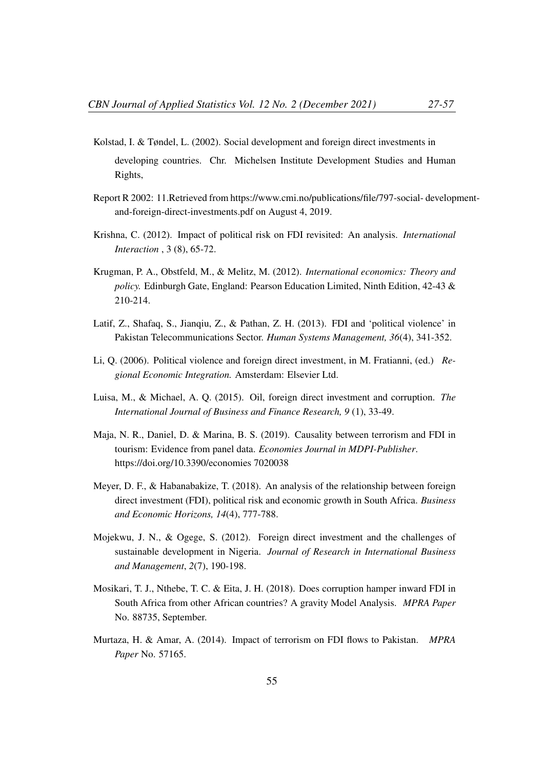- Kolstad, I. & Tøndel, L. (2002). Social development and foreign direct investments in developing countries. Chr. Michelsen Institute Development Studies and Human Rights,
- Report R 2002: 11.Retrieved from https://www.cmi.no/publications/file/797-social- developmentand-foreign-direct-investments.pdf on August 4, 2019.
- Krishna, C. (2012). Impact of political risk on FDI revisited: An analysis. *International Interaction* , 3 (8), 65-72.
- Krugman, P. A., Obstfeld, M., & Melitz, M. (2012). *International economics: Theory and policy.* Edinburgh Gate, England: Pearson Education Limited, Ninth Edition, 42-43 & 210-214.
- Latif, Z., Shafaq, S., Jianqiu, Z., & Pathan, Z. H. (2013). FDI and 'political violence' in Pakistan Telecommunications Sector. *Human Systems Management, 36*(4), 341-352.
- Li, Q. (2006). Political violence and foreign direct investment, in M. Fratianni, (ed.) *Regional Economic Integration.* Amsterdam: Elsevier Ltd.
- Luisa, M., & Michael, A. Q. (2015). Oil, foreign direct investment and corruption. *The International Journal of Business and Finance Research, 9* (1), 33-49.
- Maja, N. R., Daniel, D. & Marina, B. S. (2019). Causality between terrorism and FDI in tourism: Evidence from panel data. *Economies Journal in MDPI-Publisher*. https://doi.org/10.3390/economies 7020038
- Meyer, D. F., & Habanabakize, T. (2018). An analysis of the relationship between foreign direct investment (FDI), political risk and economic growth in South Africa. *Business and Economic Horizons, 14*(4), 777-788.
- Mojekwu, J. N., & Ogege, S. (2012). Foreign direct investment and the challenges of sustainable development in Nigeria. *Journal of Research in International Business and Management*, *2*(7), 190-198.
- Mosikari, T. J., Nthebe, T. C. & Eita, J. H. (2018). Does corruption hamper inward FDI in South Africa from other African countries? A gravity Model Analysis. *MPRA Paper* No. 88735, September.
- Murtaza, H. & Amar, A. (2014). Impact of terrorism on FDI flows to Pakistan. *MPRA Paper* No. 57165.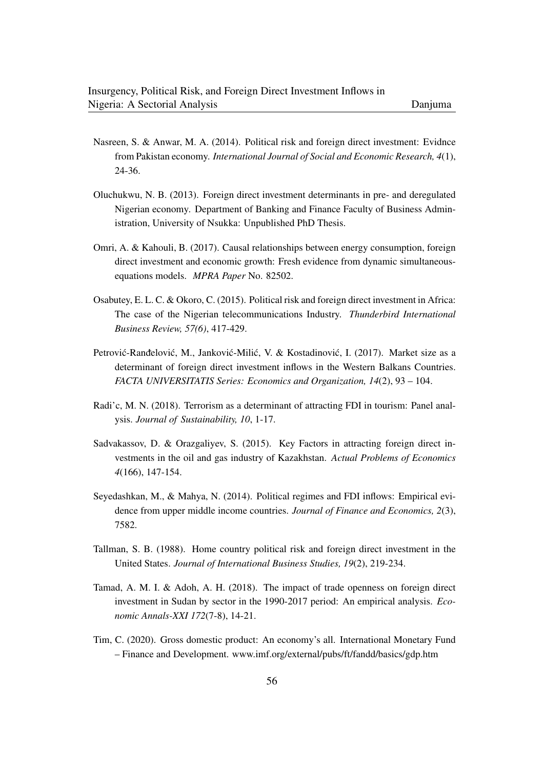- Nasreen, S. & Anwar, M. A. (2014). Political risk and foreign direct investment: Evidnce from Pakistan economy. *International Journal of Social and Economic Research, 4*(1), 24-36.
- Oluchukwu, N. B. (2013). Foreign direct investment determinants in pre- and deregulated Nigerian economy*.* Department of Banking and Finance Faculty of Business Administration, University of Nsukka: Unpublished PhD Thesis.
- Omri, A. & Kahouli, B. (2017). Causal relationships between energy consumption, foreign direct investment and economic growth: Fresh evidence from dynamic simultaneousequations models. *MPRA Paper* No. 82502.
- Osabutey, E. L. C. & Okoro, C. (2015). Political risk and foreign direct investment in Africa: The case of the Nigerian telecommunications Industry. *Thunderbird International Business Review, 57(6)*, 417-429.
- Petrović-Ranđelović, M., Janković-Milić, V. & Kostadinović, I. (2017). Market size as a determinant of foreign direct investment inflows in the Western Balkans Countries. *FACTA UNIVERSITATIS Series: Economics and Organization, 14*(2), 93 – 104.
- Radi'c, M. N. (2018). Terrorism as a determinant of attracting FDI in tourism: Panel analysis. *Journal of Sustainability, 10*, 1-17.
- Sadvakassov, D. & Orazgaliyev, S. (2015). Key Factors in attracting foreign direct investments in the oil and gas industry of Kazakhstan. *Actual Problems of Economics 4*(166), 147-154.
- Seyedashkan, M., & Mahya, N. (2014). Political regimes and FDI inflows: Empirical evidence from upper middle income countries. *Journal of Finance and Economics, 2*(3), 7582.
- Tallman, S. B. (1988). Home country political risk and foreign direct investment in the United States. *Journal of International Business Studies, 19*(2), 219-234.
- Tamad, A. M. I. & Adoh, A. H. (2018). The impact of trade openness on foreign direct investment in Sudan by sector in the 1990-2017 period: An empirical analysis. *Economic Annals-XXI 172*(7-8), 14-21.
- Tim, C. (2020). Gross domestic product: An economy's all. International Monetary Fund – Finance and Development. www.imf.org/external/pubs/ft/fandd/basics/gdp.htm